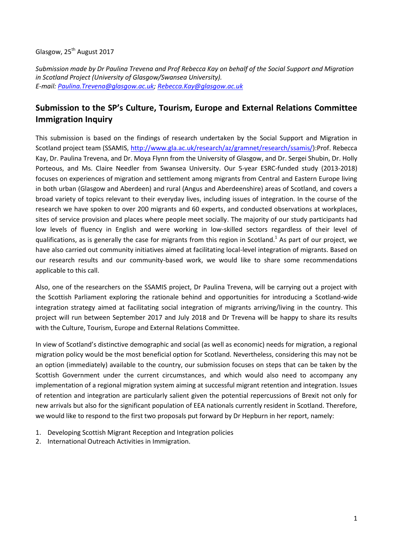## Glasgow, 25<sup>th</sup> August 2017

*Submission made by Dr Paulina Trevena and Prof Rebecca Kay on behalf of the Social Support and Migration in Scotland Project (University of Glasgow/Swansea University). E-mail[: Paulina.Trevena@glasgow.ac.uk;](mailto:Paulina.Trevena@glasgow.ac.uk) [Rebecca.Kay@glasgow.ac.uk](mailto:Rebecca.Kay@glasgow.ac.uk)*

# **Submission to the SP's Culture, Tourism, Europe and External Relations Committee Immigration Inquiry**

This submission is based on the findings of research undertaken by the Social Support and Migration in Scotland project team (SSAMIS, [http://www.gla.ac.uk/research/az/gramnet/research/ssamis/\)](http://www.gla.ac.uk/research/az/gramnet/research/ssamis/):Prof. Rebecca Kay, Dr. Paulina Trevena, and Dr. Moya Flynn from the University of Glasgow, and Dr. Sergei Shubin, Dr. Holly Porteous, and Ms. Claire Needler from Swansea University. Our 5-year ESRC-funded study (2013-2018) focuses on experiences of migration and settlement among migrants from Central and Eastern Europe living in both urban (Glasgow and Aberdeen) and rural (Angus and Aberdeenshire) areas of Scotland, and covers a broad variety of topics relevant to their everyday lives, including issues of integration. In the course of the research we have spoken to over 200 migrants and 60 experts, and conducted observations at workplaces, sites of service provision and places where people meet socially. The majority of our study participants had low levels of fluency in English and were working in low-skilled sectors regardless of their level of qualifications, as is generally the case for migrants from this region in Scotland.<sup>1</sup> As part of our project, we have also carried out community initiatives aimed at facilitating local-level integration of migrants. Based on our research results and our community-based work, we would like to share some recommendations applicable to this call.

Also, one of the researchers on the SSAMIS project, Dr Paulina Trevena, will be carrying out a project with the Scottish Parliament exploring the rationale behind and opportunities for introducing a Scotland-wide integration strategy aimed at facilitating social integration of migrants arriving/living in the country. This project will run between September 2017 and July 2018 and Dr Trevena will be happy to share its results with the Culture, Tourism, Europe and External Relations Committee.

In view of Scotland's distinctive demographic and social (as well as economic) needs for migration, a regional migration policy would be the most beneficial option for Scotland. Nevertheless, considering this may not be an option (immediately) available to the country, our submission focuses on steps that can be taken by the Scottish Government under the current circumstances, and which would also need to accompany any implementation of a regional migration system aiming at successful migrant retention and integration. Issues of retention and integration are particularly salient given the potential repercussions of Brexit not only for new arrivals but also for the significant population of EEA nationals currently resident in Scotland. Therefore, we would like to respond to the first two proposals put forward by Dr Hepburn in her report, namely:

- 1. Developing Scottish Migrant Reception and Integration policies
- 2. International Outreach Activities in Immigration.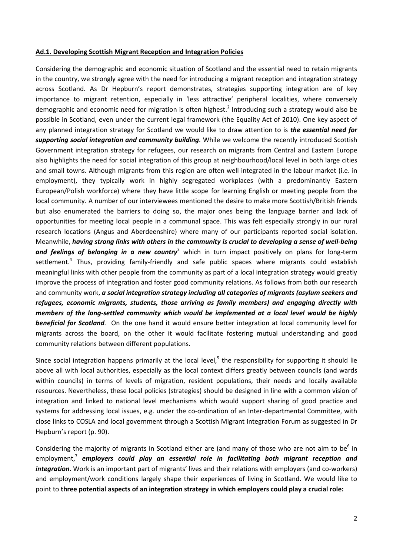#### **Ad.1. Developing Scottish Migrant Reception and Integration Policies**

Considering the demographic and economic situation of Scotland and the essential need to retain migrants in the country, we strongly agree with the need for introducing a migrant reception and integration strategy across Scotland. As Dr Hepburn's report demonstrates, strategies supporting integration are of key importance to migrant retention, especially in 'less attractive' peripheral localities, where conversely demographic and economic need for migration is often highest.<sup>2</sup> Introducing such a strategy would also be possible in Scotland, even under the current legal framework (the Equality Act of 2010). One key aspect of any planned integration strategy for Scotland we would like to draw attention to is *the essential need for supporting social integration and community building.* While we welcome the recently introduced Scottish Government integration strategy for refugees, our research on migrants from Central and Eastern Europe also highlights the need for social integration of this group at neighbourhood/local level in both large cities and small towns. Although migrants from this region are often well integrated in the labour market (i.e. in employment), they typically work in highly segregated workplaces (with a predominantly Eastern European/Polish workforce) where they have little scope for learning English or meeting people from the local community. A number of our interviewees mentioned the desire to make more Scottish/British friends but also enumerated the barriers to doing so, the major ones being the language barrier and lack of opportunities for meeting local people in a communal space. This was felt especially strongly in our rural research locations (Angus and Aberdeenshire) where many of our participants reported social isolation. Meanwhile, *having strong links with others in the community is crucial to developing a sense of well-being*  and feelings of belonging in a new country<sup>3</sup> which in turn impact positively on plans for long-term settlement.<sup>4</sup> Thus, providing family-friendly and safe public spaces where migrants could establish meaningful links with other people from the community as part of a local integration strategy would greatly improve the process of integration and foster good community relations. As follows from both our research and community work, *a social integration strategy including all categories of migrants (asylum seekers and refugees, economic migrants, students, those arriving as family members) and engaging directly with members of the long-settled community which would be implemented at a local level would be highly beneficial for Scotland.* On the one hand it would ensure better integration at local community level for migrants across the board, on the other it would facilitate fostering mutual understanding and good community relations between different populations.

Since social integration happens primarily at the local level,<sup>5</sup> the responsibility for supporting it should lie above all with local authorities, especially as the local context differs greatly between councils (and wards within councils) in terms of levels of migration, resident populations, their needs and locally available resources. Nevertheless, these local policies (strategies) should be designed in line with a common vision of integration and linked to national level mechanisms which would support sharing of good practice and systems for addressing local issues, e.g. under the co-ordination of an Inter-departmental Committee, with close links to COSLA and local government through a Scottish Migrant Integration Forum as suggested in Dr Hepburn's report (p. 90).

Considering the majority of migrants in Scotland either are (and many of those who are not aim to be $^6$  in employment,<sup>7</sup> employers could play an essential role in facilitating both migrant reception and *integration*. Work is an important part of migrants' lives and their relations with employers (and co-workers) and employment/work conditions largely shape their experiences of living in Scotland. We would like to point to **three potential aspects of an integration strategy in which employers could play a crucial role:**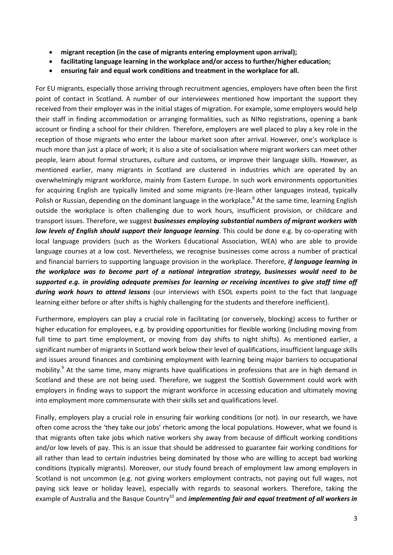- **migrant reception (in the case of migrants entering employment upon arrival);**
- **facilitating language learning in the workplace and/or access to further/higher education;**
- **ensuring fair and equal work conditions and treatment in the workplace for all.**

For EU migrants, especially those arriving through recruitment agencies, employers have often been the first point of contact in Scotland. A number of our interviewees mentioned how important the support they received from their employer was in the initial stages of migration. For example, some employers would help their staff in finding accommodation or arranging formalities, such as NINo registrations, opening a bank account or finding a school for their children. Therefore, employers are well placed to play a key role in the reception of those migrants who enter the labour market soon after arrival. However, one's workplace is much more than just a place of work; it is also a site of socialisation where migrant workers can meet other people, learn about formal structures, culture and customs, or improve their language skills. However, as mentioned earlier, many migrants in Scotland are clustered in industries which are operated by an overwhelmingly migrant workforce, mainly from Eastern Europe. In such work environments opportunities for acquiring English are typically limited and some migrants (re-)learn other languages instead, typically Polish or Russian, depending on the dominant language in the workplace.<sup>8</sup> At the same time, learning English outside the workplace is often challenging due to work hours, insufficient provision, or childcare and transport issues. Therefore, we suggest *businesses employing substantial numbers of migrant workers with low levels of English should support their language learning*. This could be done e.g. by co-operating with local language providers (such as the Workers Educational Association, WEA) who are able to provide language courses at a low cost. Nevertheless, we recognise businesses come across a number of practical and financial barriers to supporting language provision in the workplace. Therefore, *if language learning in the workplace was to become part of a national integration strategy, businesses would need to be supported e.g. in providing adequate premises for learning or receiving incentives to give staff time off during work hours to attend lessons* (our interviews with ESOL experts point to the fact that language learning either before or after shifts is highly challenging for the students and therefore inefficient).

Furthermore, employers can play a crucial role in facilitating (or conversely, blocking) access to further or higher education for employees, e.g. by providing opportunities for flexible working (including moving from full time to part time employment, or moving from day shifts to night shifts). As mentioned earlier, a significant number of migrants in Scotland work below their level of qualifications, insufficient language skills and issues around finances and combining employment with learning being major barriers to occupational mobility.<sup>9</sup> At the same time, many migrants have qualifications in professions that are in high demand in Scotland and these are not being used. Therefore, we suggest the Scottish Government could work with employers in finding ways to support the migrant workforce in accessing education and ultimately moving into employment more commensurate with their skills set and qualifications level.

Finally, employers play a crucial role in ensuring fair working conditions (or not). In our research, we have often come across the 'they take our jobs' rhetoric among the local populations. However, what we found is that migrants often take jobs which native workers shy away from because of difficult working conditions and/or low levels of pay. This is an issue that should be addressed to guarantee fair working conditions for all rather than lead to certain industries being dominated by those who are willing to accept bad working conditions (typically migrants). Moreover, our study found breach of employment law among employers in Scotland is not uncommon (e.g. not giving workers employment contracts, not paying out full wages, not paying sick leave or holiday leave), especially with regards to seasonal workers. Therefore, taking the example of Australia and the Basque Country<sup>10</sup> and *implementing fair and equal treatment of all workers in*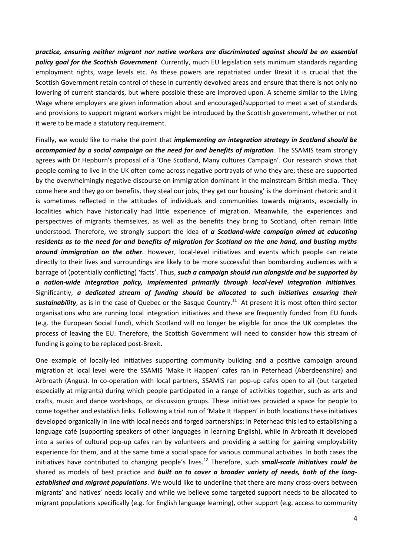*practice, ensuring neither migrant nor native workers are discriminated against should be an essential policy goal for the Scottish Government*. Currently, much EU legislation sets minimum standards regarding employment rights, wage levels etc. As these powers are repatriated under Brexit it is crucial that the Scottish Government retain control of these in currently devolved areas and ensure that there is not only no lowering of current standards, but where possible these are improved upon. A scheme similar to the Living Wage where employers are given information about and encouraged/supported to meet a set of standards and provisions to support migrant workers might be introduced by the Scottish government, whether or not it were to be made a statutory requirement.

Finally, we would like to make the point that *implementing an integration strategy in Scotland should be accompanied by a social campaign on the need for and benefits of migration*. The SSAMIS team strongly agrees with Dr Hepburn's proposal of a 'One Scotland, Many cultures Campaign'. Our research shows that people coming to live in the UK often come across negative portrayals of who they are; these are supported by the overwhelmingly negative discourse on immigration dominant in the mainstream British media. 'They come here and they go on benefits, they steal our jobs, they get our housing' is the dominant rhetoric and it is sometimes reflected in the attitudes of individuals and communities towards migrants, especially in localities which have historically had little experience of migration. Meanwhile, the experiences and perspectives of migrants themselves, as well as the benefits they bring to Scotland, often remain little understood. Therefore, we strongly support the idea of *a Scotland-wide campaign aimed at educating residents as to the need for and benefits of migration for Scotland on the one hand, and busting myths around immigration on the other.* However, local-level initiatives and events which people can relate directly to their lives and surroundings are likely to be more successful than bombarding audiences with a barrage of (potentially conflicting) 'facts'. Thus, *such a campaign should run alongside and be supported by a nation-wide integration policy, implemented primarily through local-level integration initiatives.*  Significantly, *a dedicated stream of funding should be allocated to such initiatives ensuring their* sustainability, as is in the case of Quebec or the Basque Country.<sup>11</sup> At present it is most often third sector organisations who are running local integration initiatives and these are frequently funded from EU funds (e.g. the European Social Fund), which Scotland will no longer be eligible for once the UK completes the process of leaving the EU. Therefore, the Scottish Government will need to consider how this stream of funding is going to be replaced post-Brexit.

One example of locally-led initiatives supporting community building and a positive campaign around migration at local level were the SSAMIS 'Make It Happen' cafes ran in Peterhead (Aberdeenshire) and Arbroath (Angus). In co-operation with local partners, SSAMIS ran pop-up cafes open to all (but targeted especially at migrants) during which people participated in a range of activities together, such as arts and crafts, music and dance workshops, or discussion groups. These initiatives provided a space for people to come together and establish links. Following a trial run of 'Make It Happen' in both locations these initiatives developed organically in line with local needs and forged partnerships: in Peterhead this led to establishing a language café (supporting speakers of other languages in learning English), while in Arbroath it developed into a series of cultural pop-up cafes ran by volunteers and providing a setting for gaining employability experience for them, and at the same time a social space for various communal activities. In both cases the initiatives have contributed to changing people's lives.<sup>12</sup> Therefore, such **small-scale initiatives could be** shared as models of best practice and *built on to cover a broader variety of needs, both of the longestablished and migrant populations*. We would like to underline that there are many cross-overs between migrants' and natives' needs locally and while we believe some targeted support needs to be allocated to migrant populations specifically (e.g. for English language learning), other support (e.g. access to community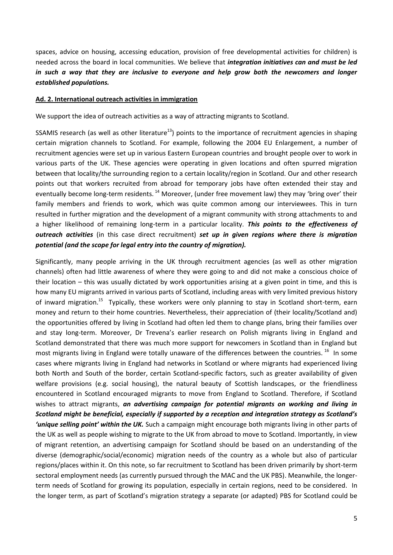spaces, advice on housing, accessing education, provision of free developmental activities for children) is needed across the board in local communities. We believe that *integration initiatives can and must be led in such a way that they are inclusive to everyone and help grow both the newcomers and longer established populations.* 

#### **Ad. 2. International outreach activities in immigration**

We support the idea of outreach activities as a way of attracting migrants to Scotland.

SSAMIS research (as well as other literature<sup>13</sup>) points to the importance of recruitment agencies in shaping certain migration channels to Scotland. For example, following the 2004 EU Enlargement, a number of recruitment agencies were set up in various Eastern European countries and brought people over to work in various parts of the UK. These agencies were operating in given locations and often spurred migration between that locality/the surrounding region to a certain locality/region in Scotland. Our and other research points out that workers recruited from abroad for temporary jobs have often extended their stay and eventually become long-term residents.<sup>14</sup> Moreover, (under free movement law) they may 'bring over' their family members and friends to work, which was quite common among our interviewees. This in turn resulted in further migration and the development of a migrant community with strong attachments to and a higher likelihood of remaining long-term in a particular locality. *This points to the effectiveness of outreach activities* (in this case direct recruitment) *set up in given regions where there is migration potential (and the scope for legal entry into the country of migration).*

Significantly, many people arriving in the UK through recruitment agencies (as well as other migration channels) often had little awareness of where they were going to and did not make a conscious choice of their location – this was usually dictated by work opportunities arising at a given point in time, and this is how many EU migrants arrived in various parts of Scotland, including areas with very limited previous history of inward migration.<sup>15</sup> Typically, these workers were only planning to stay in Scotland short-term, earn money and return to their home countries. Nevertheless, their appreciation of (their locality/Scotland and) the opportunities offered by living in Scotland had often led them to change plans, bring their families over and stay long-term. Moreover, Dr Trevena's earlier research on Polish migrants living in England and Scotland demonstrated that there was much more support for newcomers in Scotland than in England but most migrants living in England were totally unaware of the differences between the countries. <sup>16</sup> In some cases where migrants living in England had networks in Scotland or where migrants had experienced living both North and South of the border, certain Scotland-specific factors, such as greater availability of given welfare provisions (e.g. social housing), the natural beauty of Scottish landscapes, or the friendliness encountered in Scotland encouraged migrants to move from England to Scotland. Therefore, if Scotland wishes to attract migrants, *an advertising campaign for potential migrants on working and living in Scotland might be beneficial, especially if supported by a reception and integration strategy as Scotland's 'unique selling point' within the UK.* Such a campaign might encourage both migrants living in other parts of the UK as well as people wishing to migrate to the UK from abroad to move to Scotland. Importantly, in view of migrant retention, an advertising campaign for Scotland should be based on an understanding of the diverse (demographic/social/economic) migration needs of the country as a whole but also of particular regions/places within it. On this note, so far recruitment to Scotland has been driven primarily by short-term sectoral employment needs (as currently pursued through the MAC and the UK PBS). Meanwhile, the longerterm needs of Scotland for growing its population, especially in certain regions, need to be considered. In the longer term, as part of Scotland's migration strategy a separate (or adapted) PBS for Scotland could be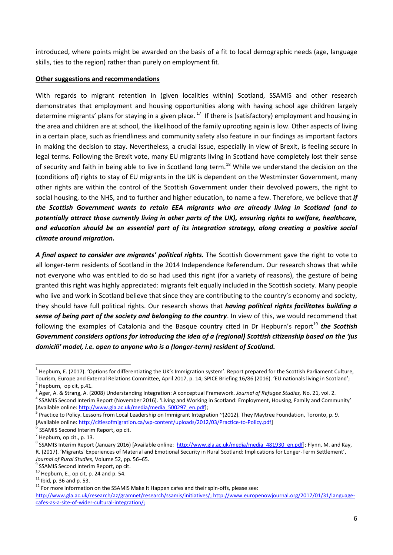introduced, where points might be awarded on the basis of a fit to local demographic needs (age, language skills, ties to the region) rather than purely on employment fit.

### **Other suggestions and recommendations**

With regards to migrant retention in (given localities within) Scotland, SSAMIS and other research demonstrates that employment and housing opportunities along with having school age children largely determine migrants' plans for staying in a given place.  $^{17}$  If there is (satisfactory) employment and housing in the area and children are at school, the likelihood of the family uprooting again is low. Other aspects of living in a certain place, such as friendliness and community safety also feature in our findings as important factors in making the decision to stay. Nevertheless, a crucial issue, especially in view of Brexit, is feeling secure in legal terms. Following the Brexit vote, many EU migrants living in Scotland have completely lost their sense of security and faith in being able to live in Scotland long term.<sup>18</sup> While we understand the decision on the (conditions of) rights to stay of EU migrants in the UK is dependent on the Westminster Government, many other rights are within the control of the Scottish Government under their devolved powers, the right to social housing, to the NHS, and to further and higher education, to name a few. Therefore, we believe that *if the Scottish Government wants to retain EEA migrants who are already living in Scotland (and to potentially attract those currently living in other parts of the UK), ensuring rights to welfare, healthcare, and education should be an essential part of its integration strategy, along creating a positive social climate around migration.*

*A final aspect to consider are migrants' political rights.* The Scottish Government gave the right to vote to all longer-term residents of Scotland in the 2014 Independence Referendum. Our research shows that while not everyone who was entitled to do so had used this right (for a variety of reasons), the gesture of being granted this right was highly appreciated: migrants felt equally included in the Scottish society. Many people who live and work in Scotland believe that since they are contributing to the country's economy and society, they should have full political rights. Our research shows that *having political rights facilitates building a sense of being part of the society and belonging to the country*. In view of this, we would recommend that following the examples of Catalonia and the Basque country cited in Dr Hepburn's report<sup>19</sup> the Scottish *Government considers options for introducing the idea of a (regional) Scottish citizenship based on the 'ius domicili' model, i.e. open to anyone who is a (longer-term) resident of Scotland.* 

<sup>1</sup>  $^1$  Hepburn, E. (2017). 'Options for differentiating the UK's Immigration system'. Report prepared for the Scottish Parliament Culture, Tourism, Europe and External Relations Committee, April 2017, p. 14; SPICE Briefing 16/86 (2016). 'EU nationals living in Scotland';  $2$  Hepburn, op cit, p.41.

<sup>3</sup> Ager, A. & Strang, A. (2008) Understanding Integration: A conceptual Framework. *Journal of Refugee Studies,* No. 21, vol. 2.

<sup>&</sup>lt;sup>4</sup> SSAMIS Second Interim Report (November 2016). 'Living and Working in Scotland: Employment, Housing, Family and Community' [Available online[: http://www.gla.ac.uk/media/media\\_500297\\_en.pdf\]](http://www.gla.ac.uk/media/media_500297_en.pdf);<br><sup>5</sup> Prestice to Policy, Lessons from Legal Loadership on Immigrant Integra

Practice to Policy. Lessons from Local Leadership on Immigrant Integration ~(2012). They Maytree Foundation, Toronto, p. 9. [Available online[: http://citiesofmigration.ca/wp-content/uploads/2012/03/Practice-to-Policy.pdf\]](http://citiesofmigration.ca/wp-content/uploads/2012/03/Practice-to-Policy.pdf)

<sup>6</sup> SSAMIS Second Interim Report, op cit.

 $<sup>7</sup>$  Hepburn, op cit., p. 13.</sup>

<sup>&</sup>lt;sup>8</sup> SSAMIS Interim Report (January 2016) [Available online: [http://www.gla.ac.uk/media/media\\_481930\\_en.pdf\]](http://www.gla.ac.uk/media/media_481930_en.pdf); Flynn, M. and Kay, R. (2017). 'Migrants' Experiences of Material and Emotional Security in Rural Scotland: Implications for Longer-Term Settlement', *Journal of Rural Studies,* Volume 52, pp. 56–65.

<sup>&</sup>lt;sup>9</sup> SSAMIS Second Interim Report, op cit.

 $10$  Hepburn, E., op cit, p. 24 and p. 54.

 $11$  Ibid, p. 36 and p. 53.

<sup>&</sup>lt;sup>12</sup> For more information on the SSAMIS Make It Happen cafes and their spin-offs, please see:

[http://www.gla.ac.uk/research/az/gramnet/research/ssamis/initiatives/;](http://www.gla.ac.uk/research/az/gramnet/research/ssamis/initiatives/) [http://www.europenowjournal.org/2017/01/31/language](http://www.europenowjournal.org/2017/01/31/language-cafes-as-a-site-of-wider-cultural-integration/)[cafes-as-a-site-of-wider-cultural-integration/;](http://www.europenowjournal.org/2017/01/31/language-cafes-as-a-site-of-wider-cultural-integration/)